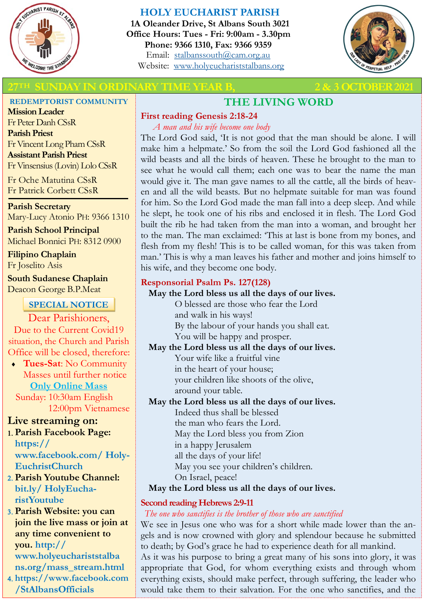

**Mission Leader** Fr Peter Danh CSsR

**Parish Priest**

### **HOLY EUCHARIST PARISH**

**1A Oleander Drive, St Albans South 3021 Office Hours: Tues - Fri: 9:00am - 3.30pm Phone: 9366 1310, Fax: 9366 9359** Email: [stalbanssouth@cam.org.au](mailto:stalbanssouth@cam.org.au) Website:[www.holyeuchariststalbans.org](http://www.holyeuchariststalbans.org)



# **27TH SUNDAY IN ORDINARY TIME YEAR B, 2 & 3 OCTOBER2021**

**REDEMPTORIST COMMUNITY**

Fr Vincent Long Pham CSsR

Fr Vinsensius (Lovin) Lolo CSsR

Mary-Lucy Atonio PH: 9366 1310

Michael Bonnici PH: 8312 0900

**South Sudanese Chaplain** Deacon George B.P.Meat

Dear Parishioners, Due to the Current Covid19 situation, the Church and Parish Office will be closed, therefore: **Tues-Sat**: No Community Masses until further notice

**SPECIAL NOTICE**

**Assistant Parish Priest** 

Fr Oche Matutina CSsR Fr Patrick Corbett CSsR

**Parish School Principal**

**Parish Secretary**

**Filipino Chaplain** Fr Joselito Asis

# **THE LIVING WORD**

# **First reading Genesis 2:18-24**

*A man and his wife become one body*

The Lord God said, 'It is not good that the man should be alone. I will make him a helpmate.' So from the soil the Lord God fashioned all the wild beasts and all the birds of heaven. These he brought to the man to see what he would call them; each one was to bear the name the man would give it. The man gave names to all the cattle, all the birds of heaven and all the wild beasts. But no helpmate suitable for man was found for him. So the Lord God made the man fall into a deep sleep. And while he slept, he took one of his ribs and enclosed it in flesh. The Lord God built the rib he had taken from the man into a woman, and brought her to the man. The man exclaimed: 'This at last is bone from my bones, and flesh from my flesh! This is to be called woman, for this was taken from man.' This is why a man leaves his father and mother and joins himself to his wife, and they become one body.

# **Responsorial Psalm Ps. 127(128)**

### **May the Lord bless us all the days of our lives.**

O blessed are those who fear the Lord and walk in his ways! By the labour of your hands you shall eat.

You will be happy and prosper.

# **May the Lord bless us all the days of our lives.**

Your wife like a fruitful vine in the heart of your house; your children like shoots of the olive, around your table.

# **May the Lord bless us all the days of our lives.**

Indeed thus shall be blessed the man who fears the Lord. May the Lord bless you from Zion in a happy Jerusalem all the days of your life! May you see your children's children. On Israel, peace!

# **May the Lord bless us all the days of our lives.**

# **Second reading Hebrews 2:9-11**

# *The one who sanctifies is the brother of those who are sanctified*

We see in Jesus one who was for a short while made lower than the angels and is now crowned with glory and splendour because he submitted to death; by God's grace he had to experience death for all mankind.

As it was his purpose to bring a great many of his sons into glory, it was appropriate that God, for whom everything exists and through whom everything exists, should make perfect, through suffering, the leader who would take them to their salvation. For the one who sanctifies, and the

# **Only Online Mass**

 Sunday: 10:30am English 12:00pm Vietnamese

# **Live streaming on:**

 **Parish Facebook Page: https:// www.facebook.com/ Holy-EuchristChurch** 

# **Parish Youtube Channel: bit.ly/ HolyEucharistYoutube**

 **Parish Website: you can join the live mass or join at any time convenient to you. http:// www.holyeuchariststalba ns.org/mass\_stream.html**

 **https://www.facebook.com /StAlbansOfficials**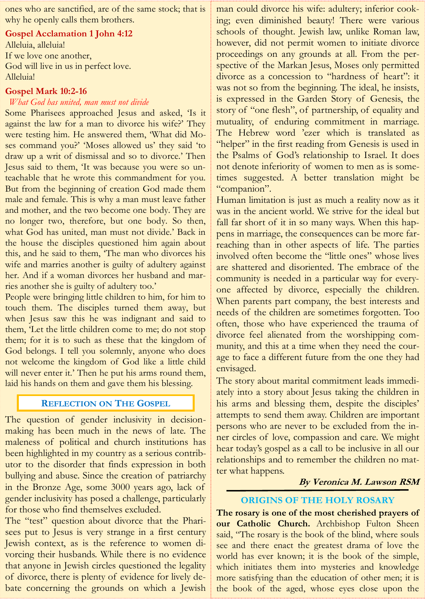ones who are sanctified, are of the same stock; that is why he openly calls them brothers.

#### **Gospel Acclamation 1 John 4:12**

Alleluia, alleluia! If we love one another, God will live in us in perfect love. Alleluia!

#### **Gospel Mark 10:2-16**

#### *What God has united, man must not divide*

Some Pharisees approached Jesus and asked, 'Is it against the law for a man to divorce his wife?' They were testing him. He answered them, 'What did Moses command you?' 'Moses allowed us' they said 'to draw up a writ of dismissal and so to divorce.' Then Jesus said to them, 'It was because you were so unteachable that he wrote this commandment for you. But from the beginning of creation God made them male and female. This is why a man must leave father and mother, and the two become one body. They are no longer two, therefore, but one body. So then, what God has united, man must not divide.' Back in the house the disciples questioned him again about this, and he said to them, 'The man who divorces his wife and marries another is guilty of adultery against her. And if a woman divorces her husband and marries another she is guilty of adultery too.'

People were bringing little children to him, for him to touch them. The disciples turned them away, but when Jesus saw this he was indignant and said to them, 'Let the little children come to me; do not stop them; for it is to such as these that the kingdom of God belongs. I tell you solemnly, anyone who does not welcome the kingdom of God like a little child will never enter it.' Then he put his arms round them, laid his hands on them and gave them his blessing.

### **REFLECTION ON THE GOSPEL**

The question of gender inclusivity in decisionmaking has been much in the news of late. The maleness of political and church institutions has been highlighted in my country as a serious contributor to the disorder that finds expression in both bullying and abuse. Since the creation of patriarchy in the Bronze Age, some 3000 years ago, lack of gender inclusivity has posed a challenge, particularly for those who find themselves excluded.

The "test" question about divorce that the Pharisees put to Jesus is very strange in a first century Jewish context, as is the reference to women divorcing their husbands. While there is no evidence that anyone in Jewish circles questioned the legality of divorce, there is plenty of evidence for lively debate concerning the grounds on which a Jewish

man could divorce his wife: adultery; inferior cooking; even diminished beauty! There were various schools of thought. Jewish law, unlike Roman law, however, did not permit women to initiate divorce proceedings on any grounds at all. From the perspective of the Markan Jesus, Moses only permitted divorce as a concession to "hardness of heart": it was not so from the beginning. The ideal, he insists, is expressed in the Garden Story of Genesis, the story of "one flesh", of partnership, of equality and mutuality, of enduring commitment in marriage. The Hebrew word 'ezer which is translated as "helper" in the first reading from Genesis is used in the Psalms of God's relationship to Israel. It does not denote inferiority of women to men as is sometimes suggested. A better translation might be "companion".

Human limitation is just as much a reality now as it was in the ancient world. We strive for the ideal but fall far short of it in so many ways. When this happens in marriage, the consequences can be more farreaching than in other aspects of life. The parties involved often become the "little ones" whose lives are shattered and disoriented. The embrace of the community is needed in a particular way for everyone affected by divorce, especially the children. When parents part company, the best interests and needs of the children are sometimes forgotten. Too often, those who have experienced the trauma of divorce feel alienated from the worshipping community, and this at a time when they need the courage to face a different future from the one they had envisaged.

The story about marital commitment leads immediately into a story about Jesus taking the children in his arms and blessing them, despite the disciples' attempts to send them away. Children are important persons who are never to be excluded from the inner circles of love, compassion and care. We might hear today's gospel as a call to be inclusive in all our relationships and to remember the children no matter what happens.

#### **By Veronica M. Lawson RSM**

#### **ORIGINS OF THE HOLY ROSARY**

**The rosary is one of the most cherished prayers of our Catholic Church.** Archbishop Fulton Sheen said, "The rosary is the book of the blind, where souls see and there enact the greatest drama of love the world has ever known; it is the book of the simple, which initiates them into mysteries and knowledge more satisfying than the education of other men; it is the book of the aged, whose eyes close upon the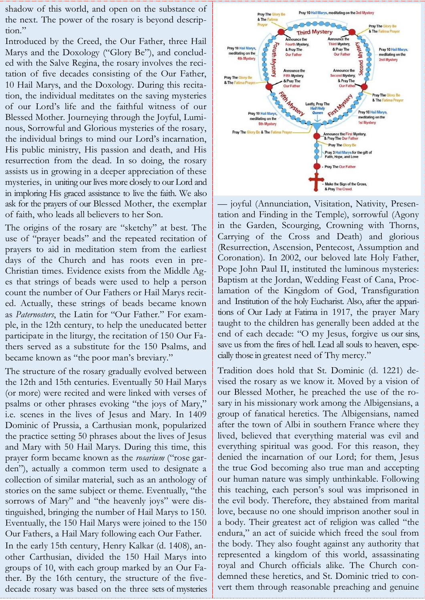shadow of this world, and open on the substance of the next. The power of the rosary is beyond description."

Introduced by the Creed, the Our Father, three Hail Marys and the Doxology ("Glory Be"), and concluded with the Salve Regina, the rosary involves the recitation of five decades consisting of the Our Father, 10 Hail Marys, and the Doxology. During this recitation, the individual meditates on the saving mysteries of our Lord's life and the faithful witness of our Blessed Mother. Journeying through the Joyful, Luminous, Sorrowful and Glorious mysteries of the rosary, the individual brings to mind our Lord's incarnation, His public ministry, His passion and death, and His resurrection from the dead. In so doing, the rosary assists us in growing in a deeper appreciation of these mysteries, in uniting our lives more closely to our Lord and in imploring His graced assistance to live the faith. We also ask for the prayers of our Blessed Mother, the exemplar of faith, who leads all believers to her Son.

The origins of the rosary are "sketchy" at best. The use of "prayer beads" and the repeated recitation of prayers to aid in meditation stem from the earliest days of the Church and has roots even in pre-Christian times. Evidence exists from the Middle Ages that strings of beads were used to help a person count the number of Our Fathers or Hail Marys recited. Actually, these strings of beads became known as *Paternosters*, the Latin for "Our Father." For example, in the 12th century, to help the uneducated better participate in the liturgy, the recitation of 150 Our Fathers served as a substitute for the 150 Psalms, and became known as "the poor man's breviary."

The structure of the rosary gradually evolved between the 12th and 15th centuries. Eventually 50 Hail Marys (or more) were recited and were linked with verses of psalms or other phrases evoking "the joys of Mary," i.e. scenes in the lives of Jesus and Mary. In 1409 Dominic of Prussia, a Carthusian monk, popularized the practice setting 50 phrases about the lives of Jesus and Mary with 50 Hail Marys. During this time, this prayer form became known as the *rosarium* ("rose garden"), actually a common term used to designate a collection of similar material, such as an anthology of stories on the same subject or theme. Eventually, "the sorrows of Mary" and "the heavenly joys" were distinguished, bringing the number of Hail Marys to 150. Eventually, the 150 Hail Marys were joined to the 150 Our Fathers, a Hail Mary following each Our Father.

In the early 15th century, Henry Kalkar (d. 1408), another Carthusian, divided the 150 Hail Marys into groups of 10, with each group marked by an Our Father. By the 16th century, the structure of the fivedecade rosary was based on the three sets of mysteries



— joyful (Annunciation, Visitation, Nativity, Presentation and Finding in the Temple), sorrowful (Agony in the Garden, Scourging, Crowning with Thorns, Carrying of the Cross and Death) and glorious (Resurrection, Ascension, Pentecost, Assumption and Coronation). In 2002, our beloved late Holy Father, Pope John Paul II, instituted the luminous mysteries: Baptism at the Jordan, Wedding Feast of Cana, Proclamation of the Kingdom of God, Transfiguration and Institution of the holy Eucharist. Also, after the apparitions of Our Lady at Fatima in 1917, the prayer Mary taught to the children has generally been added at the end of each decade: "O my Jesus, forgive us our sins, save us from the fires of hell. Lead all souls to heaven, especially those in greatest need of Thy mercy."

Tradition does hold that St. Dominic (d. 1221) devised the rosary as we know it. Moved by a vision of our Blessed Mother, he preached the use of the rosary in his missionary work among the Albigensians, a group of fanatical heretics. The Albigensians, named after the town of Albi in southern France where they lived, believed that everything material was evil and everything spiritual was good. For this reason, they denied the incarnation of our Lord; for them, Jesus the true God becoming also true man and accepting our human nature was simply unthinkable. Following this teaching, each person's soul was imprisoned in the evil body. Therefore, they abstained from marital love, because no one should imprison another soul in a body. Their greatest act of religion was called "the endura," an act of suicide which freed the soul from the body. They also fought against any authority that represented a kingdom of this world, assassinating royal and Church officials alike. The Church condemned these heretics, and St. Dominic tried to convert them through reasonable preaching and genuine